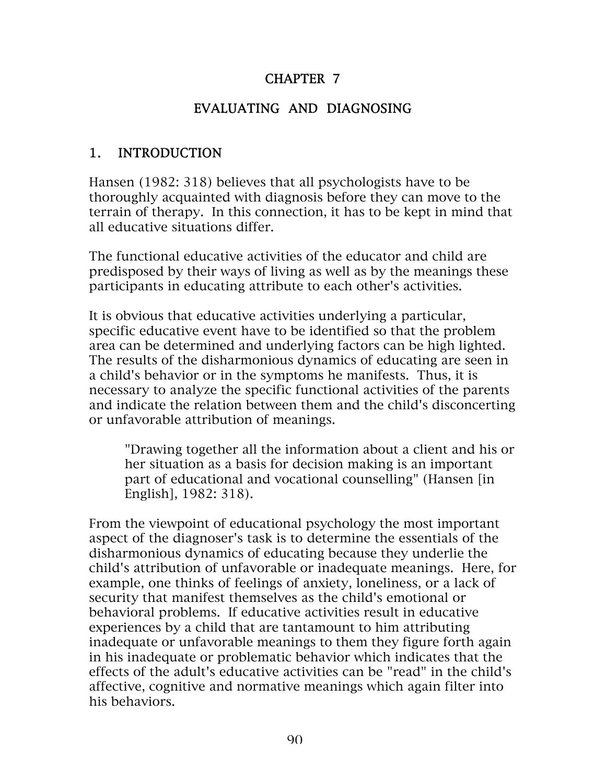#### CHAPTER 7

#### EVALUATING AND DIAGNOSING

#### 1. INTRODUCTION

Hansen (1982: 318) believes that all psychologists have to be thoroughly acquainted with diagnosis before they can move to the terrain of therapy. In this connection, it has to be kept in mind that all educative situations differ.

The functional educative activities of the educator and child are predisposed by their ways of living as well as by the meanings these participants in educating attribute to each other's activities.

It is obvious that educative activities underlying a particular, specific educative event have to be identified so that the problem area can be determined and underlying factors can be high lighted. The results of the disharmonious dynamics of educating are seen in a child's behavior or in the symptoms he manifests. Thus, it is necessary to analyze the specific functional activities of the parents and indicate the relation between them and the child's disconcerting or unfavorable attribution of meanings.

"Drawing together all the information about a client and his or her situation as a basis for decision making is an important part of educational and vocational counselling" (Hansen [in English], 1982: 318).

From the viewpoint of educational psychology the most important aspect of the diagnoser's task is to determine the essentials of the disharmonious dynamics of educating because they underlie the child's attribution of unfavorable or inadequate meanings. Here, for example, one thinks of feelings of anxiety, loneliness, or a lack of security that manifest themselves as the child's emotional or behavioral problems. If educative activities result in educative experiences by a child that are tantamount to him attributing inadequate or unfavorable meanings to them they figure forth again in his inadequate or problematic behavior which indicates that the effects of the adult's educative activities can be "read" in the child's affective, cognitive and normative meanings which again filter into his behaviors.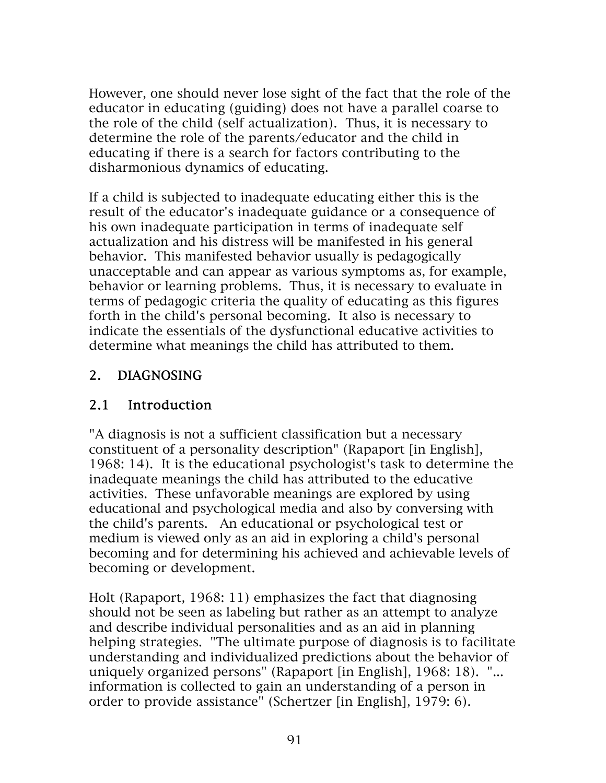However, one should never lose sight of the fact that the role of the educator in educating (guiding) does not have a parallel coarse to the role of the child (self actualization). Thus, it is necessary to determine the role of the parents/educator and the child in educating if there is a search for factors contributing to the disharmonious dynamics of educating.

If a child is subjected to inadequate educating either this is the result of the educator's inadequate guidance or a consequence of his own inadequate participation in terms of inadequate self actualization and his distress will be manifested in his general behavior. This manifested behavior usually is pedagogically unacceptable and can appear as various symptoms as, for example, behavior or learning problems. Thus, it is necessary to evaluate in terms of pedagogic criteria the quality of educating as this figures forth in the child's personal becoming. It also is necessary to indicate the essentials of the dysfunctional educative activities to determine what meanings the child has attributed to them.

#### 2. DIAGNOSING

#### 2.1 Introduction

"A diagnosis is not a sufficient classification but a necessary constituent of a personality description" (Rapaport [in English], 1968: 14). It is the educational psychologist's task to determine the inadequate meanings the child has attributed to the educative activities. These unfavorable meanings are explored by using educational and psychological media and also by conversing with the child's parents. An educational or psychological test or medium is viewed only as an aid in exploring a child's personal becoming and for determining his achieved and achievable levels of becoming or development.

Holt (Rapaport, 1968: 11) emphasizes the fact that diagnosing should not be seen as labeling but rather as an attempt to analyze and describe individual personalities and as an aid in planning helping strategies. "The ultimate purpose of diagnosis is to facilitate understanding and individualized predictions about the behavior of uniquely organized persons" (Rapaport [in English], 1968: 18). "... information is collected to gain an understanding of a person in order to provide assistance" (Schertzer [in English], 1979: 6).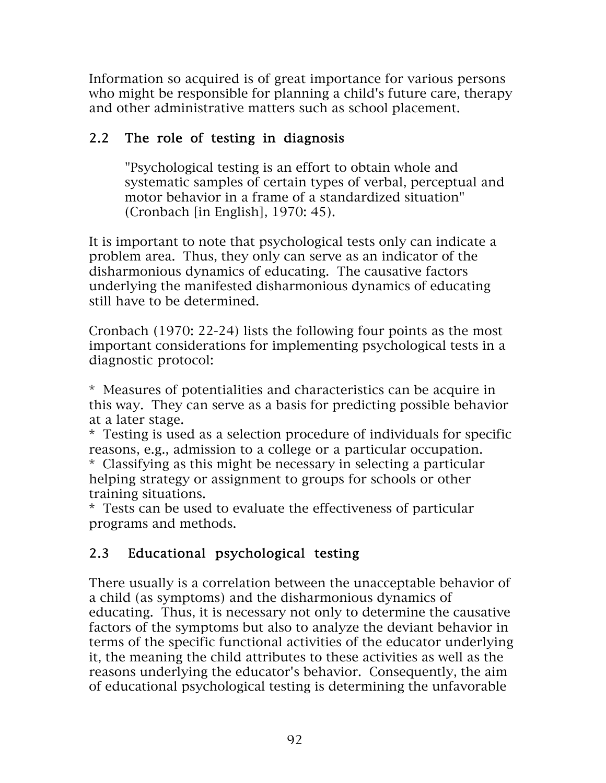Information so acquired is of great importance for various persons who might be responsible for planning a child's future care, therapy and other administrative matters such as school placement.

#### 2.2 The role of testing in diagnosis

"Psychological testing is an effort to obtain whole and systematic samples of certain types of verbal, perceptual and motor behavior in a frame of a standardized situation" (Cronbach [in English], 1970: 45).

It is important to note that psychological tests only can indicate a problem area. Thus, they only can serve as an indicator of the disharmonious dynamics of educating. The causative factors underlying the manifested disharmonious dynamics of educating still have to be determined.

Cronbach (1970: 22-24) lists the following four points as the most important considerations for implementing psychological tests in a diagnostic protocol:

\* Measures of potentialities and characteristics can be acquire in this way. They can serve as a basis for predicting possible behavior at a later stage.

\* Testing is used as a selection procedure of individuals for specific reasons, e.g., admission to a college or a particular occupation.

\* Classifying as this might be necessary in selecting a particular helping strategy or assignment to groups for schools or other training situations.

\* Tests can be used to evaluate the effectiveness of particular programs and methods.

## 2.3 Educational psychological testing

There usually is a correlation between the unacceptable behavior of a child (as symptoms) and the disharmonious dynamics of educating. Thus, it is necessary not only to determine the causative factors of the symptoms but also to analyze the deviant behavior in terms of the specific functional activities of the educator underlying it, the meaning the child attributes to these activities as well as the reasons underlying the educator's behavior. Consequently, the aim of educational psychological testing is determining the unfavorable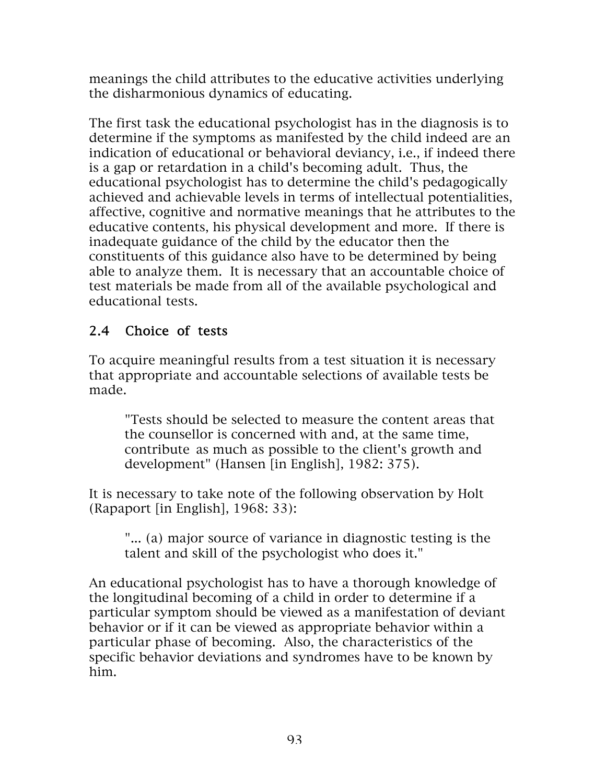meanings the child attributes to the educative activities underlying the disharmonious dynamics of educating.

The first task the educational psychologist has in the diagnosis is to determine if the symptoms as manifested by the child indeed are an indication of educational or behavioral deviancy, i.e., if indeed there is a gap or retardation in a child's becoming adult. Thus, the educational psychologist has to determine the child's pedagogically achieved and achievable levels in terms of intellectual potentialities, affective, cognitive and normative meanings that he attributes to the educative contents, his physical development and more. If there is inadequate guidance of the child by the educator then the constituents of this guidance also have to be determined by being able to analyze them. It is necessary that an accountable choice of test materials be made from all of the available psychological and educational tests.

## 2.4 Choice of tests

To acquire meaningful results from a test situation it is necessary that appropriate and accountable selections of available tests be made.

"Tests should be selected to measure the content areas that the counsellor is concerned with and, at the same time, contribute as much as possible to the client's growth and development" (Hansen [in English], 1982: 375).

It is necessary to take note of the following observation by Holt (Rapaport [in English], 1968: 33):

"... (a) major source of variance in diagnostic testing is the talent and skill of the psychologist who does it."

An educational psychologist has to have a thorough knowledge of the longitudinal becoming of a child in order to determine if a particular symptom should be viewed as a manifestation of deviant behavior or if it can be viewed as appropriate behavior within a particular phase of becoming. Also, the characteristics of the specific behavior deviations and syndromes have to be known by him.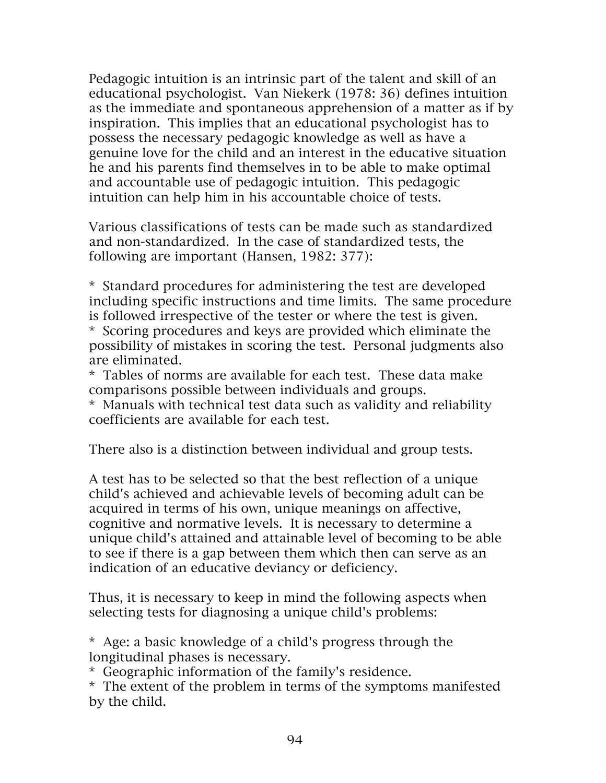Pedagogic intuition is an intrinsic part of the talent and skill of an educational psychologist. Van Niekerk (1978: 36) defines intuition as the immediate and spontaneous apprehension of a matter as if by inspiration. This implies that an educational psychologist has to possess the necessary pedagogic knowledge as well as have a genuine love for the child and an interest in the educative situation he and his parents find themselves in to be able to make optimal and accountable use of pedagogic intuition. This pedagogic intuition can help him in his accountable choice of tests.

Various classifications of tests can be made such as standardized and non-standardized. In the case of standardized tests, the following are important (Hansen, 1982: 377):

\* Standard procedures for administering the test are developed including specific instructions and time limits. The same procedure is followed irrespective of the tester or where the test is given. \* Scoring procedures and keys are provided which eliminate the possibility of mistakes in scoring the test. Personal judgments also are eliminated.

\* Tables of norms are available for each test. These data make comparisons possible between individuals and groups.

\* Manuals with technical test data such as validity and reliability coefficients are available for each test.

There also is a distinction between individual and group tests.

A test has to be selected so that the best reflection of a unique child's achieved and achievable levels of becoming adult can be acquired in terms of his own, unique meanings on affective, cognitive and normative levels. It is necessary to determine a unique child's attained and attainable level of becoming to be able to see if there is a gap between them which then can serve as an indication of an educative deviancy or deficiency.

Thus, it is necessary to keep in mind the following aspects when selecting tests for diagnosing a unique child's problems:

\* Age: a basic knowledge of a child's progress through the longitudinal phases is necessary.

\* Geographic information of the family's residence.

\* The extent of the problem in terms of the symptoms manifested by the child.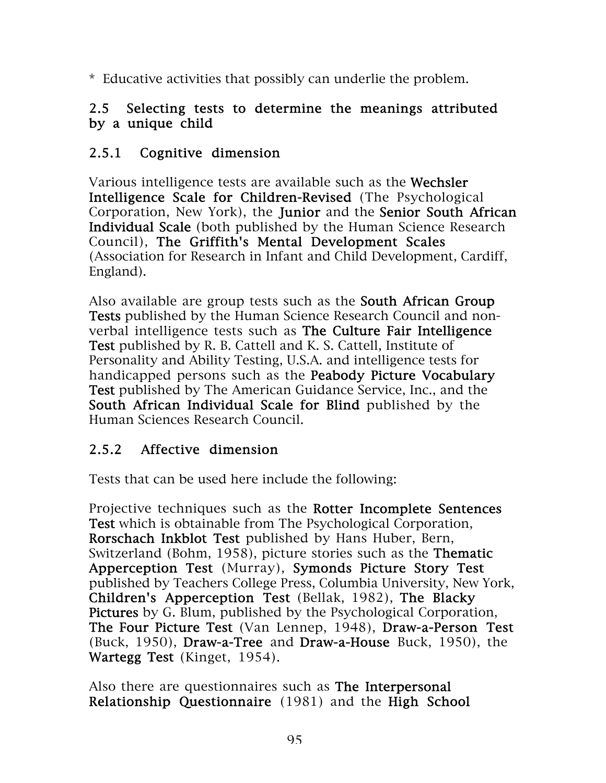\* Educative activities that possibly can underlie the problem.

#### 2.5 Selecting tests to determine the meanings attributed by a unique child

#### 2.5.1 Cognitive dimension

Various intelligence tests are available such as the Wechsler Intelligence Scale for Children-Revised (The Psychological Corporation, New York), the Junior and the Senior South African Individual Scale (both published by the Human Science Research Council), The Griffith's Mental Development Scales (Association for Research in Infant and Child Development, Cardiff, England).

Also available are group tests such as the **South African Group** Tests published by the Human Science Research Council and nonverbal intelligence tests such as The Culture Fair Intelligence Test published by R. B. Cattell and K. S. Cattell, Institute of Personality and Ability Testing, U.S.A. and intelligence tests for handicapped persons such as the Peabody Picture Vocabulary Test published by The American Guidance Service, Inc., and the South African Individual Scale for Blind published by the Human Sciences Research Council.

#### 2.5.2 Affective dimension

Tests that can be used here include the following:

Projective techniques such as the Rotter Incomplete Sentences Test which is obtainable from The Psychological Corporation, Rorschach Inkblot Test published by Hans Huber, Bern, Switzerland (Bohm, 1958), picture stories such as the Thematic Apperception Test (Murray), Symonds Picture Story Test published by Teachers College Press, Columbia University, New York, Children's Apperception Test (Bellak, 1982), The Blacky Pictures by G. Blum, published by the Psychological Corporation, The Four Picture Test (Van Lennep, 1948), Draw-a-Person Test (Buck, 1950), Draw-a-Tree and Draw-a-House Buck, 1950), the Wartegg Test (Kinget, 1954).

Also there are questionnaires such as The Interpersonal Relationship Questionnaire (1981) and the High School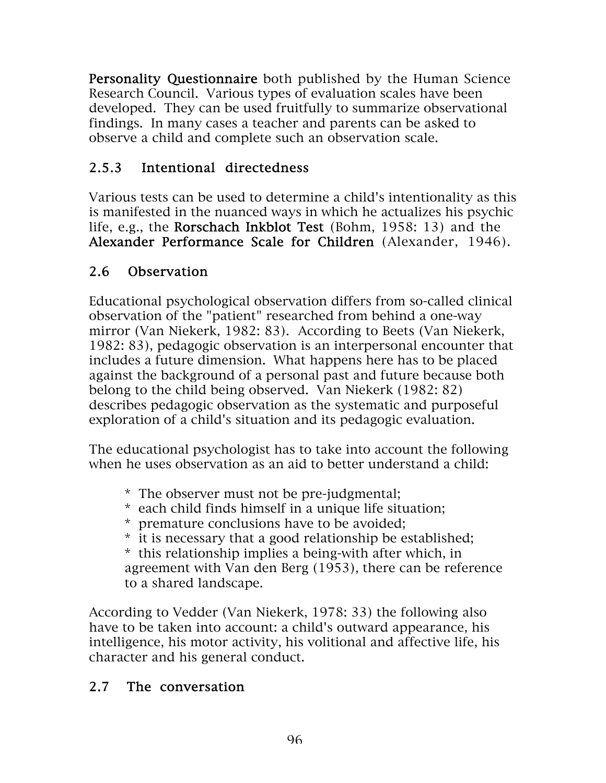Personality Questionnaire both published by the Human Science Research Council. Various types of evaluation scales have been developed. They can be used fruitfully to summarize observational findings. In many cases a teacher and parents can be asked to observe a child and complete such an observation scale.

# 2.5.3 Intentional directedness

Various tests can be used to determine a child's intentionality as this is manifested in the nuanced ways in which he actualizes his psychic life, e.g., the Rorschach Inkblot Test (Bohm, 1958: 13) and the Alexander Performance Scale for Children (Alexander, 1946).

## 2.6 Observation

Educational psychological observation differs from so-called clinical observation of the "patient" researched from behind a one-way mirror (Van Niekerk, 1982: 83). According to Beets (Van Niekerk, 1982: 83), pedagogic observation is an interpersonal encounter that includes a future dimension. What happens here has to be placed against the background of a personal past and future because both belong to the child being observed. Van Niekerk (1982: 82) describes pedagogic observation as the systematic and purposeful exploration of a child's situation and its pedagogic evaluation.

The educational psychologist has to take into account the following when he uses observation as an aid to better understand a child:

- \* The observer must not be pre-judgmental;
- \* each child finds himself in a unique life situation;
- \* premature conclusions have to be avoided;
- \* it is necessary that a good relationship be established;

\* this relationship implies a being-with after which, in agreement with Van den Berg (1953), there can be reference to a shared landscape.

According to Vedder (Van Niekerk, 1978: 33) the following also have to be taken into account: a child's outward appearance, his intelligence, his motor activity, his volitional and affective life, his character and his general conduct.

## 2.7 The conversation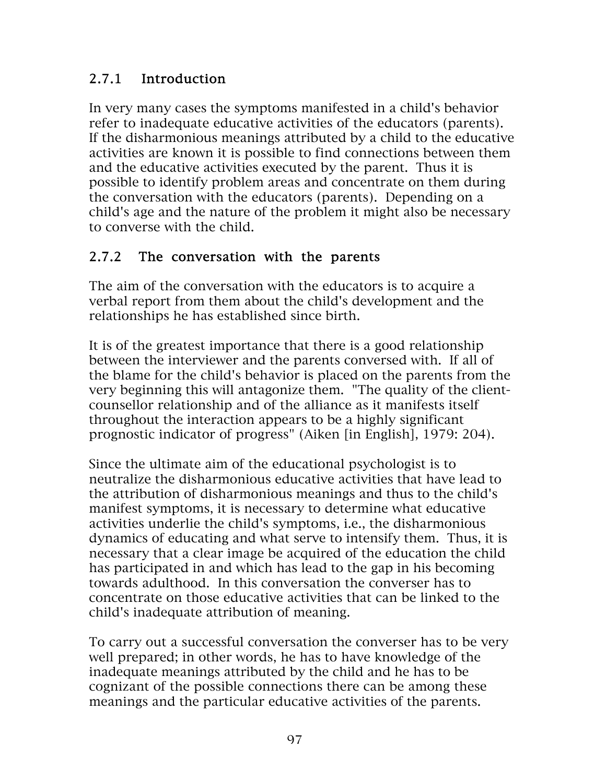## 2.7.1 Introduction

In very many cases the symptoms manifested in a child's behavior refer to inadequate educative activities of the educators (parents). If the disharmonious meanings attributed by a child to the educative activities are known it is possible to find connections between them and the educative activities executed by the parent. Thus it is possible to identify problem areas and concentrate on them during the conversation with the educators (parents). Depending on a child's age and the nature of the problem it might also be necessary to converse with the child.

#### 2.7.2 The conversation with the parents

The aim of the conversation with the educators is to acquire a verbal report from them about the child's development and the relationships he has established since birth.

It is of the greatest importance that there is a good relationship between the interviewer and the parents conversed with. If all of the blame for the child's behavior is placed on the parents from the very beginning this will antagonize them. "The quality of the clientcounsellor relationship and of the alliance as it manifests itself throughout the interaction appears to be a highly significant prognostic indicator of progress" (Aiken [in English], 1979: 204).

Since the ultimate aim of the educational psychologist is to neutralize the disharmonious educative activities that have lead to the attribution of disharmonious meanings and thus to the child's manifest symptoms, it is necessary to determine what educative activities underlie the child's symptoms, i.e., the disharmonious dynamics of educating and what serve to intensify them. Thus, it is necessary that a clear image be acquired of the education the child has participated in and which has lead to the gap in his becoming towards adulthood. In this conversation the converser has to concentrate on those educative activities that can be linked to the child's inadequate attribution of meaning.

To carry out a successful conversation the converser has to be very well prepared; in other words, he has to have knowledge of the inadequate meanings attributed by the child and he has to be cognizant of the possible connections there can be among these meanings and the particular educative activities of the parents.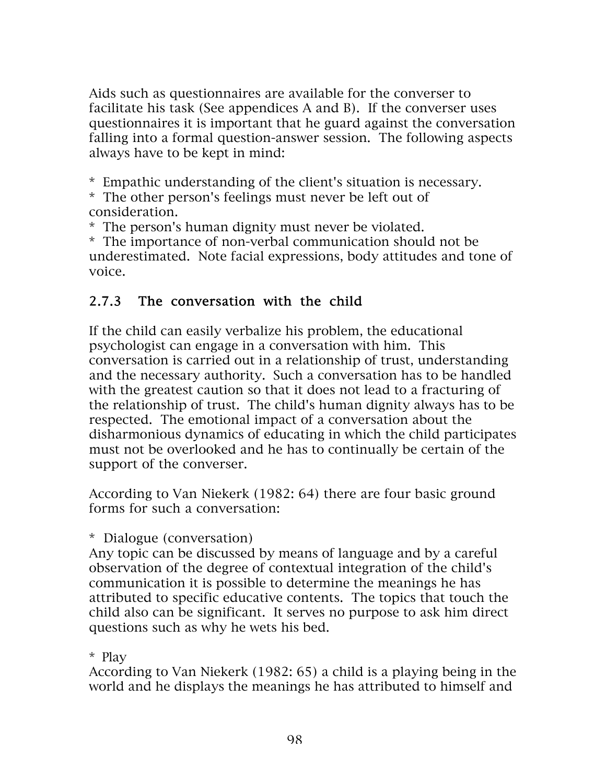Aids such as questionnaires are available for the converser to facilitate his task (See appendices A and B). If the converser uses questionnaires it is important that he guard against the conversation falling into a formal question-answer session. The following aspects always have to be kept in mind:

\* Empathic understanding of the client's situation is necessary.

\* The other person's feelings must never be left out of consideration.

\* The person's human dignity must never be violated.

\* The importance of non-verbal communication should not be underestimated. Note facial expressions, body attitudes and tone of voice.

#### 2.7.3 The conversation with the child

If the child can easily verbalize his problem, the educational psychologist can engage in a conversation with him. This conversation is carried out in a relationship of trust, understanding and the necessary authority. Such a conversation has to be handled with the greatest caution so that it does not lead to a fracturing of the relationship of trust. The child's human dignity always has to be respected. The emotional impact of a conversation about the disharmonious dynamics of educating in which the child participates must not be overlooked and he has to continually be certain of the support of the converser.

According to Van Niekerk (1982: 64) there are four basic ground forms for such a conversation:

\* Dialogue (conversation)

Any topic can be discussed by means of language and by a careful observation of the degree of contextual integration of the child's communication it is possible to determine the meanings he has attributed to specific educative contents. The topics that touch the child also can be significant. It serves no purpose to ask him direct questions such as why he wets his bed.

#### \* Play

According to Van Niekerk (1982: 65) a child is a playing being in the world and he displays the meanings he has attributed to himself and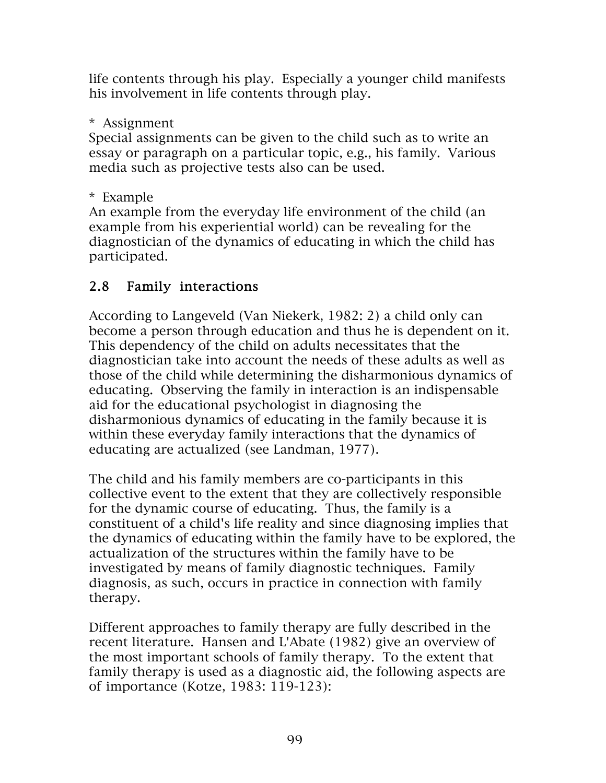life contents through his play. Especially a younger child manifests his involvement in life contents through play.

\* Assignment

Special assignments can be given to the child such as to write an essay or paragraph on a particular topic, e.g., his family. Various media such as projective tests also can be used.

\* Example

An example from the everyday life environment of the child (an example from his experiential world) can be revealing for the diagnostician of the dynamics of educating in which the child has participated.

# 2.8 Family interactions

According to Langeveld (Van Niekerk, 1982: 2) a child only can become a person through education and thus he is dependent on it. This dependency of the child on adults necessitates that the diagnostician take into account the needs of these adults as well as those of the child while determining the disharmonious dynamics of educating. Observing the family in interaction is an indispensable aid for the educational psychologist in diagnosing the disharmonious dynamics of educating in the family because it is within these everyday family interactions that the dynamics of educating are actualized (see Landman, 1977).

The child and his family members are co-participants in this collective event to the extent that they are collectively responsible for the dynamic course of educating. Thus, the family is a constituent of a child's life reality and since diagnosing implies that the dynamics of educating within the family have to be explored, the actualization of the structures within the family have to be investigated by means of family diagnostic techniques. Family diagnosis, as such, occurs in practice in connection with family therapy.

Different approaches to family therapy are fully described in the recent literature. Hansen and L'Abate (1982) give an overview of the most important schools of family therapy. To the extent that family therapy is used as a diagnostic aid, the following aspects are of importance (Kotze, 1983: 119-123):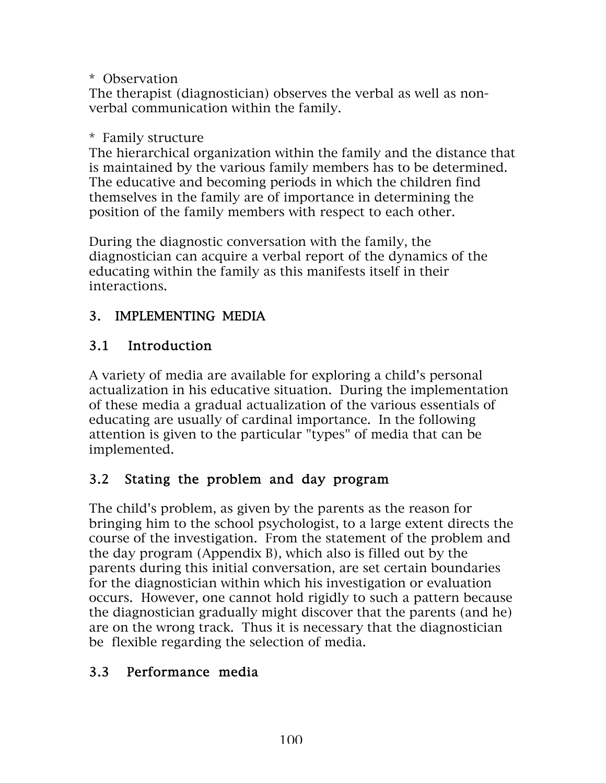\* Observation

The therapist (diagnostician) observes the verbal as well as nonverbal communication within the family.

#### \* Family structure

The hierarchical organization within the family and the distance that is maintained by the various family members has to be determined. The educative and becoming periods in which the children find themselves in the family are of importance in determining the position of the family members with respect to each other.

During the diagnostic conversation with the family, the diagnostician can acquire a verbal report of the dynamics of the educating within the family as this manifests itself in their interactions.

## 3. IMPLEMENTING MEDIA

## 3.1 Introduction

A variety of media are available for exploring a child's personal actualization in his educative situation. During the implementation of these media a gradual actualization of the various essentials of educating are usually of cardinal importance. In the following attention is given to the particular "types" of media that can be implemented.

## 3.2 Stating the problem and day program

The child's problem, as given by the parents as the reason for bringing him to the school psychologist, to a large extent directs the course of the investigation. From the statement of the problem and the day program (Appendix B), which also is filled out by the parents during this initial conversation, are set certain boundaries for the diagnostician within which his investigation or evaluation occurs. However, one cannot hold rigidly to such a pattern because the diagnostician gradually might discover that the parents (and he) are on the wrong track. Thus it is necessary that the diagnostician be flexible regarding the selection of media.

## 3.3 Performance media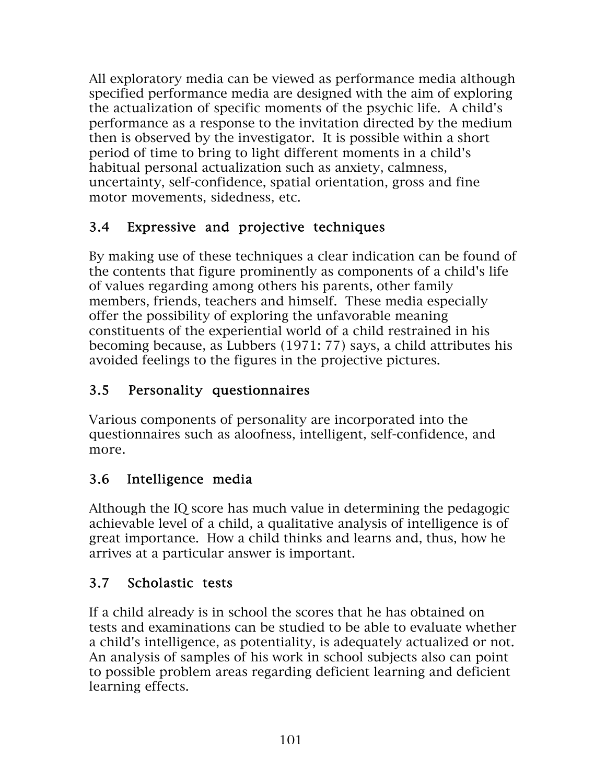All exploratory media can be viewed as performance media although specified performance media are designed with the aim of exploring the actualization of specific moments of the psychic life. A child's performance as a response to the invitation directed by the medium then is observed by the investigator. It is possible within a short period of time to bring to light different moments in a child's habitual personal actualization such as anxiety, calmness, uncertainty, self-confidence, spatial orientation, gross and fine motor movements, sidedness, etc.

## 3.4 Expressive and projective techniques

By making use of these techniques a clear indication can be found of the contents that figure prominently as components of a child's life of values regarding among others his parents, other family members, friends, teachers and himself. These media especially offer the possibility of exploring the unfavorable meaning constituents of the experiential world of a child restrained in his becoming because, as Lubbers (1971: 77) says, a child attributes his avoided feelings to the figures in the projective pictures.

## 3.5 Personality questionnaires

Various components of personality are incorporated into the questionnaires such as aloofness, intelligent, self-confidence, and more.

## 3.6 Intelligence media

Although the IQ score has much value in determining the pedagogic achievable level of a child, a qualitative analysis of intelligence is of great importance. How a child thinks and learns and, thus, how he arrives at a particular answer is important.

## 3.7 Scholastic tests

If a child already is in school the scores that he has obtained on tests and examinations can be studied to be able to evaluate whether a child's intelligence, as potentiality, is adequately actualized or not. An analysis of samples of his work in school subjects also can point to possible problem areas regarding deficient learning and deficient learning effects.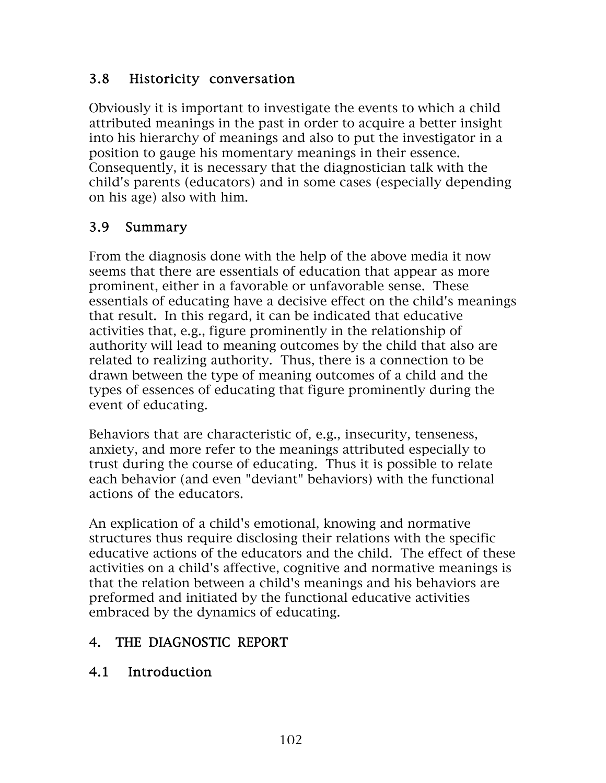#### 3.8 Historicity conversation

Obviously it is important to investigate the events to which a child attributed meanings in the past in order to acquire a better insight into his hierarchy of meanings and also to put the investigator in a position to gauge his momentary meanings in their essence. Consequently, it is necessary that the diagnostician talk with the child's parents (educators) and in some cases (especially depending on his age) also with him.

## 3.9 Summary

From the diagnosis done with the help of the above media it now seems that there are essentials of education that appear as more prominent, either in a favorable or unfavorable sense. These essentials of educating have a decisive effect on the child's meanings that result. In this regard, it can be indicated that educative activities that, e.g., figure prominently in the relationship of authority will lead to meaning outcomes by the child that also are related to realizing authority. Thus, there is a connection to be drawn between the type of meaning outcomes of a child and the types of essences of educating that figure prominently during the event of educating.

Behaviors that are characteristic of, e.g., insecurity, tenseness, anxiety, and more refer to the meanings attributed especially to trust during the course of educating. Thus it is possible to relate each behavior (and even "deviant" behaviors) with the functional actions of the educators.

An explication of a child's emotional, knowing and normative structures thus require disclosing their relations with the specific educative actions of the educators and the child. The effect of these activities on a child's affective, cognitive and normative meanings is that the relation between a child's meanings and his behaviors are preformed and initiated by the functional educative activities embraced by the dynamics of educating.

## 4. THE DIAGNOSTIC REPORT

#### 4.1 Introduction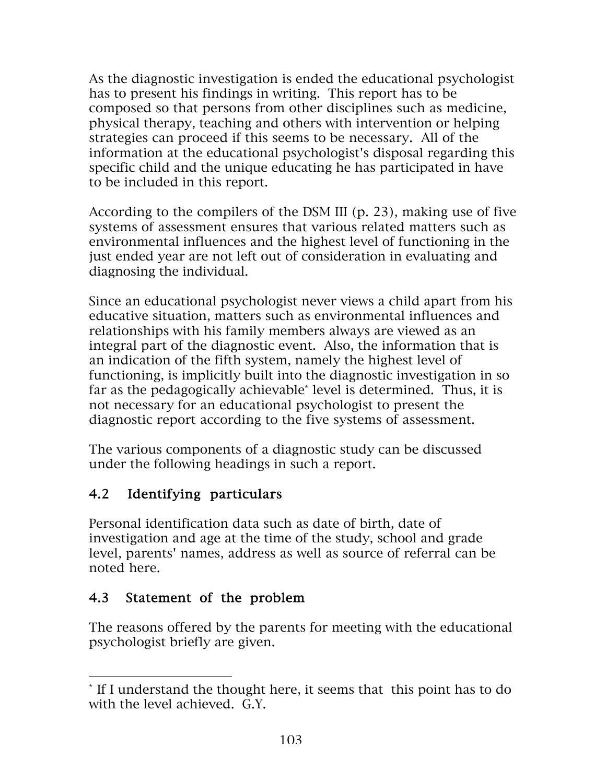As the diagnostic investigation is ended the educational psychologist has to present his findings in writing. This report has to be composed so that persons from other disciplines such as medicine, physical therapy, teaching and others with intervention or helping strategies can proceed if this seems to be necessary. All of the information at the educational psychologist's disposal regarding this specific child and the unique educating he has participated in have to be included in this report.

According to the compilers of the DSM III (p. 23), making use of five systems of assessment ensures that various related matters such as environmental influences and the highest level of functioning in the just ended year are not left out of consideration in evaluating and diagnosing the individual.

Since an educational psychologist never views a child apart from his educative situation, matters such as environmental influences and relationships with his family members always are viewed as an integral part of the diagnostic event. Also, the information that is an indication of the fifth system, namely the highest level of functioning, is implicitly built into the diagnostic investigation in so far as the pedagogically achievable\* level is determined. Thus, it is not necessary for an educational psychologist to present the diagnostic report according to the five systems of assessment.

The various components of a diagnostic study can be discussed under the following headings in such a report.

# 4.2 Identifying particulars

Personal identification data such as date of birth, date of investigation and age at the time of the study, school and grade level, parents' names, address as well as source of referral can be noted here.

#### 4.3 Statement of the problem

 $\overline{a}$ 

The reasons offered by the parents for meeting with the educational psychologist briefly are given.

<sup>\*</sup> If I understand the thought here, it seems that this point has to do with the level achieved. G.Y.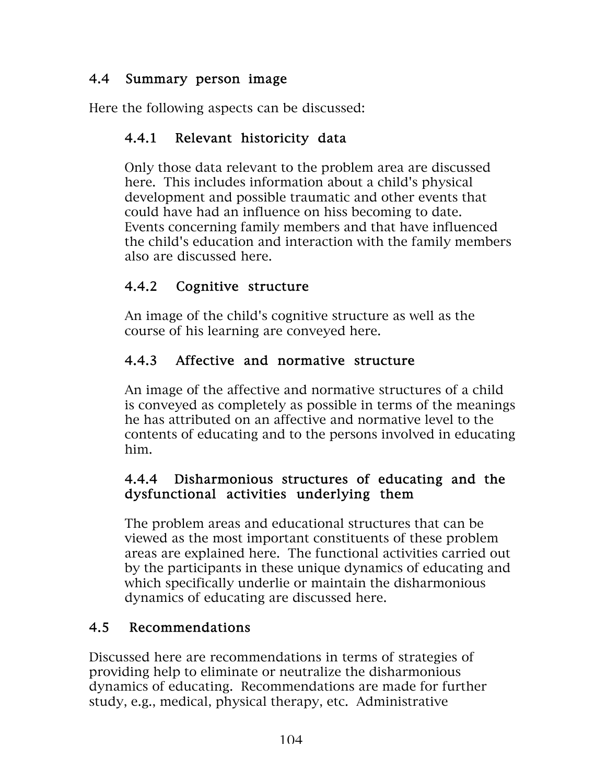#### 4.4 Summary person image

Here the following aspects can be discussed:

## 4.4.1 Relevant historicity data

Only those data relevant to the problem area are discussed here. This includes information about a child's physical development and possible traumatic and other events that could have had an influence on hiss becoming to date. Events concerning family members and that have influenced the child's education and interaction with the family members also are discussed here.

## 4.4.2 Cognitive structure

An image of the child's cognitive structure as well as the course of his learning are conveyed here.

## 4.4.3 Affective and normative structure

An image of the affective and normative structures of a child is conveyed as completely as possible in terms of the meanings he has attributed on an affective and normative level to the contents of educating and to the persons involved in educating him.

#### 4.4.4 Disharmonious structures of educating and the dysfunctional activities underlying them

The problem areas and educational structures that can be viewed as the most important constituents of these problem areas are explained here. The functional activities carried out by the participants in these unique dynamics of educating and which specifically underlie or maintain the disharmonious dynamics of educating are discussed here.

## 4.5 Recommendations

Discussed here are recommendations in terms of strategies of providing help to eliminate or neutralize the disharmonious dynamics of educating. Recommendations are made for further study, e.g., medical, physical therapy, etc. Administrative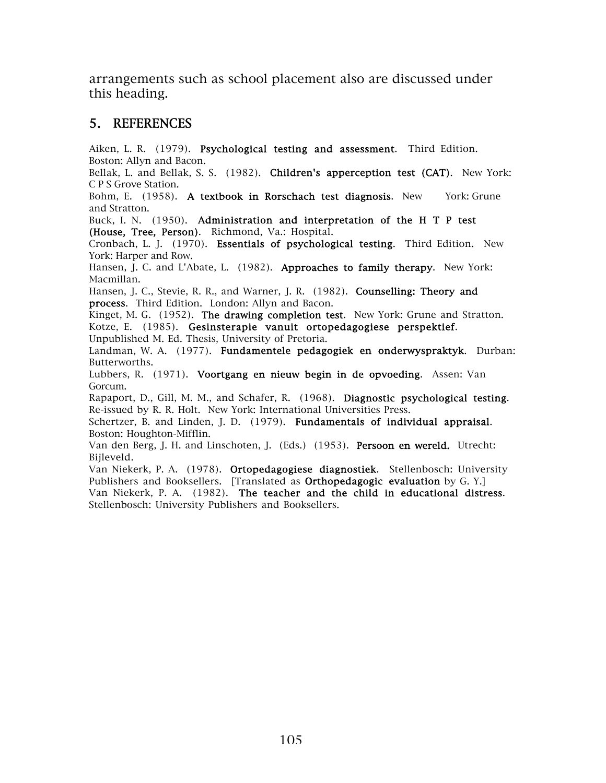arrangements such as school placement also are discussed under this heading.

#### 5. REFERENCES

Aiken, L. R. (1979). Psychological testing and assessment. Third Edition. Boston: Allyn and Bacon.

Bellak, L. and Bellak, S. S. (1982). Children's apperception test (CAT). New York: C P S Grove Station.

Bohm, E. (1958). A textbook in Rorschach test diagnosis. New York: Grune and Stratton.

Buck, I. N. (1950). Administration and interpretation of the H T P test (House, Tree, Person). Richmond, Va.: Hospital.

Cronbach, L. J. (1970). Essentials of psychological testing. Third Edition. New York: Harper and Row.

Hansen, J. C. and L'Abate, L. (1982). Approaches to family therapy. New York: Macmillan.

Hansen, J. C., Stevie, R. R., and Warner, J. R. (1982). Counselling: Theory and process. Third Edition. London: Allyn and Bacon.

Kinget, M. G. (1952). The drawing completion test. New York: Grune and Stratton. Kotze, E. (1985). Gesinsterapie vanuit ortopedagogiese perspektief.

Unpublished M. Ed. Thesis, University of Pretoria.

Landman, W. A. (1977). Fundamentele pedagogiek en onderwyspraktyk. Durban: Butterworths.

Lubbers, R. (1971). Voortgang en nieuw begin in de opvoeding. Assen: Van Gorcum.

Rapaport, D., Gill, M. M., and Schafer, R. (1968). Diagnostic psychological testing. Re-issued by R. R. Holt. New York: International Universities Press.

Schertzer, B. and Linden, J. D. (1979). Fundamentals of individual appraisal. Boston: Houghton-Mifflin.

Van den Berg, J. H. and Linschoten, J. (Eds.) (1953). Persoon en wereld. Utrecht: Bijleveld.

Van Niekerk, P. A. (1978). Ortopedagogiese diagnostiek. Stellenbosch: University Publishers and Booksellers. [Translated as **Orthopedagogic evaluation** by G. Y.] Van Niekerk, P. A. (1982). The teacher and the child in educational distress. Stellenbosch: University Publishers and Booksellers.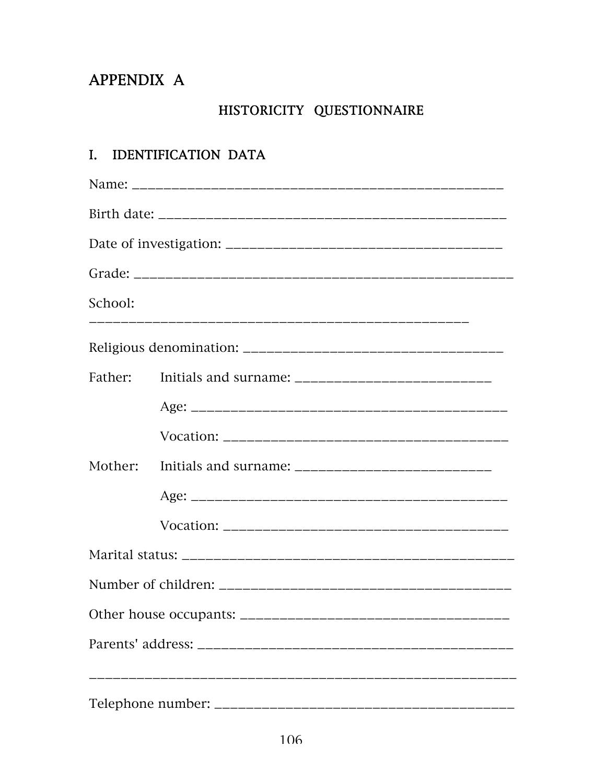# APPENDIX A

# HISTORICITY QUESTIONNAIRE

# I. IDENTIFICATION DATA

| School: |  |  |  |  |  |  |  |
|---------|--|--|--|--|--|--|--|
|         |  |  |  |  |  |  |  |
| Father: |  |  |  |  |  |  |  |
|         |  |  |  |  |  |  |  |
|         |  |  |  |  |  |  |  |
|         |  |  |  |  |  |  |  |
|         |  |  |  |  |  |  |  |
|         |  |  |  |  |  |  |  |
|         |  |  |  |  |  |  |  |
|         |  |  |  |  |  |  |  |
|         |  |  |  |  |  |  |  |
|         |  |  |  |  |  |  |  |
|         |  |  |  |  |  |  |  |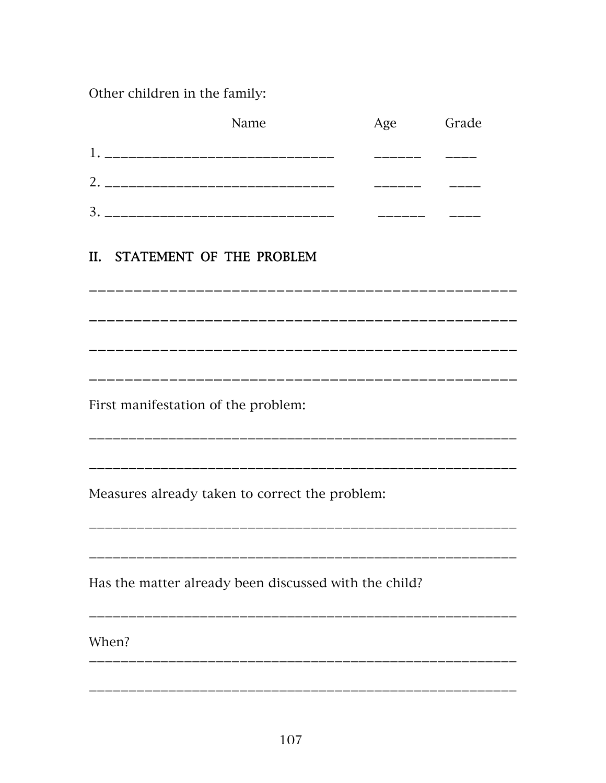Other children in the family:

| Name                                                  | Age | Grade           |
|-------------------------------------------------------|-----|-----------------|
|                                                       |     |                 |
|                                                       |     |                 |
|                                                       |     | ——————————————— |
|                                                       |     |                 |
| II. STATEMENT OF THE PROBLEM                          |     |                 |
|                                                       |     |                 |
|                                                       |     |                 |
|                                                       |     |                 |
|                                                       |     |                 |
| First manifestation of the problem:                   |     |                 |
|                                                       |     |                 |
|                                                       |     |                 |
| Measures already taken to correct the problem:        |     |                 |
|                                                       |     |                 |
|                                                       |     |                 |
| Has the matter already been discussed with the child? |     |                 |
|                                                       |     |                 |
| When?                                                 |     |                 |
|                                                       |     |                 |
|                                                       |     |                 |
|                                                       |     |                 |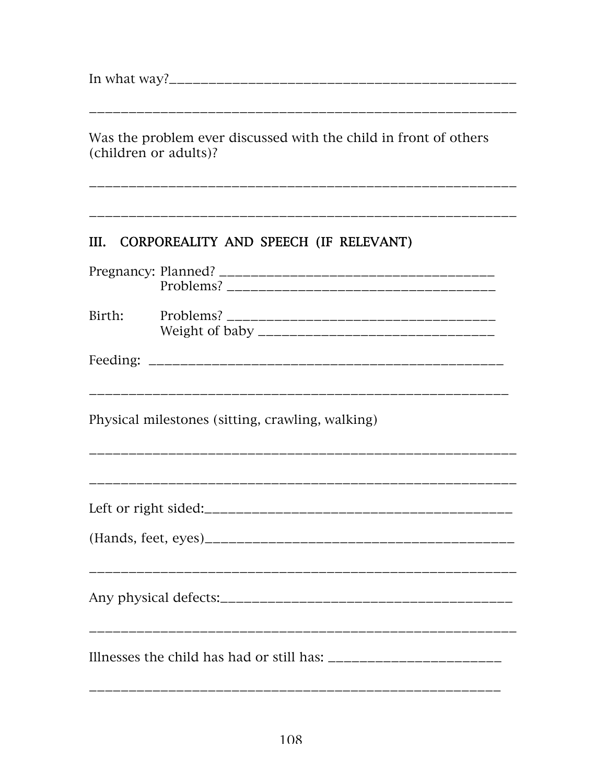Was the problem ever discussed with the child in front of others (children or adults)? CORPOREALITY AND SPEECH (IF RELEVANT)  $III.$ Birth: Physical milestones (sitting, crawling, walking)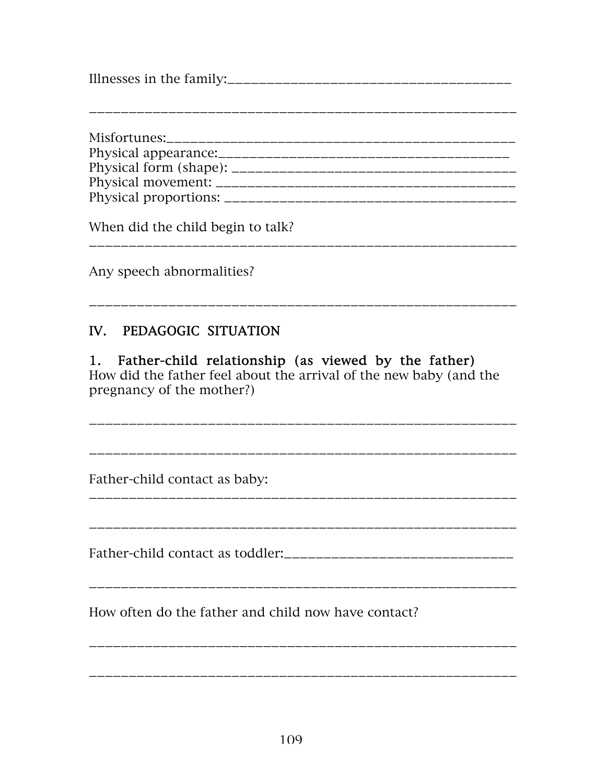Illnesses in the family:\_\_\_\_\_\_\_\_\_\_\_\_\_\_\_\_\_\_\_\_\_\_\_\_\_\_\_\_\_\_\_\_\_\_\_\_

\_\_\_\_\_\_\_\_\_\_\_\_\_\_\_\_\_\_\_\_\_\_\_\_\_\_\_\_\_\_\_\_\_\_\_\_\_\_\_\_\_\_\_\_\_\_\_\_\_\_\_\_\_\_

Misfortunes:\_\_\_\_\_\_\_\_\_\_\_\_\_\_\_\_\_\_\_\_\_\_\_\_\_\_\_\_\_\_\_\_\_\_\_\_\_\_\_\_\_\_\_\_ Physical appearance:\_\_\_\_\_\_\_\_\_\_\_\_\_\_\_\_\_\_\_\_\_\_\_\_\_\_\_\_\_\_\_\_\_\_\_\_\_ Physical form (shape): \_\_\_\_\_\_\_\_\_\_\_\_\_\_\_\_\_\_\_\_\_\_\_\_\_\_\_\_\_\_\_\_\_\_\_\_ Physical movement: \_\_\_\_\_\_\_\_\_\_\_\_\_\_\_\_\_\_\_\_\_\_\_\_\_\_\_\_\_\_\_\_\_\_\_\_\_\_ Physical proportions: \_\_\_\_\_\_\_\_\_\_\_\_\_\_\_\_\_\_\_\_\_\_\_\_\_\_\_\_\_\_\_\_\_\_\_\_\_

\_\_\_\_\_\_\_\_\_\_\_\_\_\_\_\_\_\_\_\_\_\_\_\_\_\_\_\_\_\_\_\_\_\_\_\_\_\_\_\_\_\_\_\_\_\_\_\_\_\_\_\_\_\_

\_\_\_\_\_\_\_\_\_\_\_\_\_\_\_\_\_\_\_\_\_\_\_\_\_\_\_\_\_\_\_\_\_\_\_\_\_\_\_\_\_\_\_\_\_\_\_\_\_\_\_\_\_\_

\_\_\_\_\_\_\_\_\_\_\_\_\_\_\_\_\_\_\_\_\_\_\_\_\_\_\_\_\_\_\_\_\_\_\_\_\_\_\_\_\_\_\_\_\_\_\_\_\_\_\_\_\_\_

When did the child begin to talk?

Any speech abnormalities?

# IV. PEDAGOGIC SITUATION

#### 1. Father-child relationship (as viewed by the father) How did the father feel about the arrival of the new baby (and the pregnancy of the mother?)

\_\_\_\_\_\_\_\_\_\_\_\_\_\_\_\_\_\_\_\_\_\_\_\_\_\_\_\_\_\_\_\_\_\_\_\_\_\_\_\_\_\_\_\_\_\_\_\_\_\_\_\_\_\_

\_\_\_\_\_\_\_\_\_\_\_\_\_\_\_\_\_\_\_\_\_\_\_\_\_\_\_\_\_\_\_\_\_\_\_\_\_\_\_\_\_\_\_\_\_\_\_\_\_\_\_\_\_\_

Father-child contact as baby:

Father-child contact as toddler:\_\_\_\_\_\_\_\_\_\_\_\_\_\_\_\_\_\_\_\_\_\_\_\_\_\_\_\_\_

\_\_\_\_\_\_\_\_\_\_\_\_\_\_\_\_\_\_\_\_\_\_\_\_\_\_\_\_\_\_\_\_\_\_\_\_\_\_\_\_\_\_\_\_\_\_\_\_\_\_\_\_\_\_

\_\_\_\_\_\_\_\_\_\_\_\_\_\_\_\_\_\_\_\_\_\_\_\_\_\_\_\_\_\_\_\_\_\_\_\_\_\_\_\_\_\_\_\_\_\_\_\_\_\_\_\_\_\_

How often do the father and child now have contact?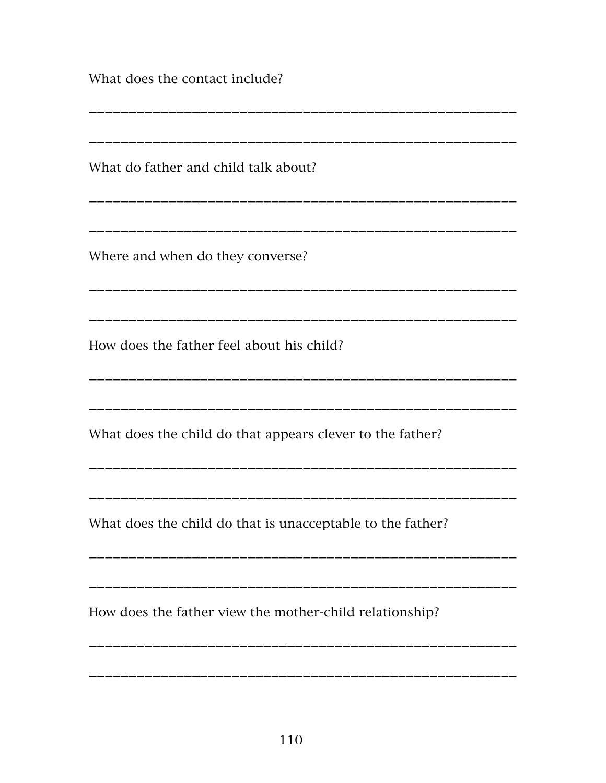What does the contact include?

What do father and child talk about? Where and when do they converse? How does the father feel about his child? What does the child do that appears clever to the father? What does the child do that is unacceptable to the father? How does the father view the mother-child relationship?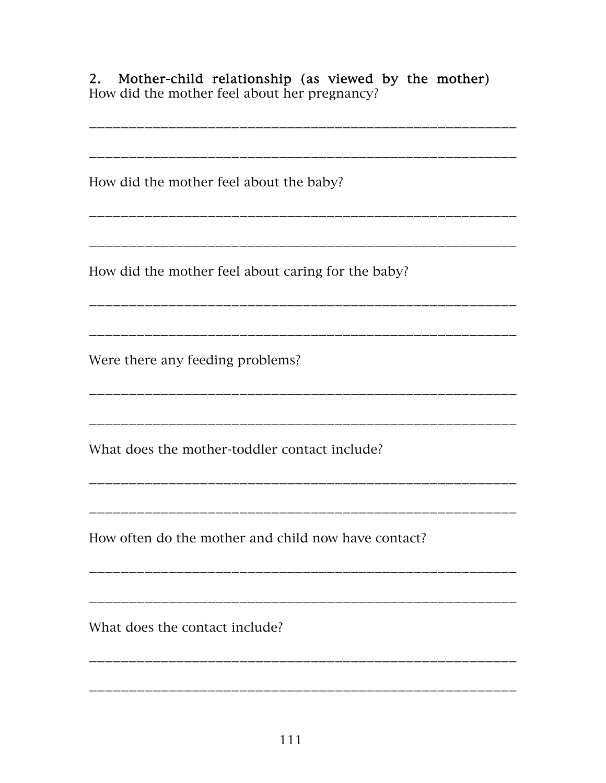Mother-child relationship (as viewed by the mother)  $2.$ How did the mother feel about her pregnancy?

How did the mother feel about the baby? \_\_\_\_\_\_\_\_\_\_\_\_\_\_\_\_\_\_\_\_\_\_ How did the mother feel about caring for the baby? ----------------------------Were there any feeding problems? What does the mother-toddler contact include? How often do the mother and child now have contact? What does the contact include?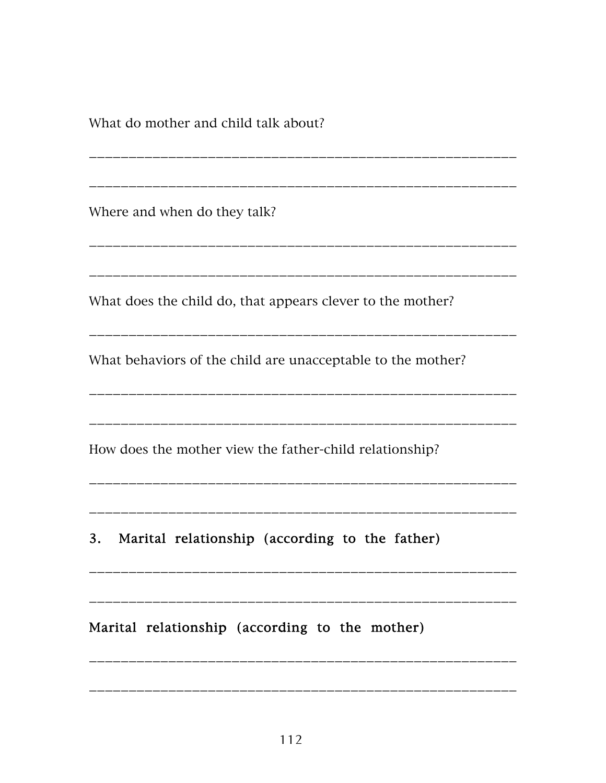What do mother and child talk about?

Where and when do they talk? What does the child do, that appears clever to the mother? What behaviors of the child are unacceptable to the mother? How does the mother view the father-child relationship? 3. Marital relationship (according to the father)

Marital relationship (according to the mother)

\_\_\_\_\_\_\_\_\_\_\_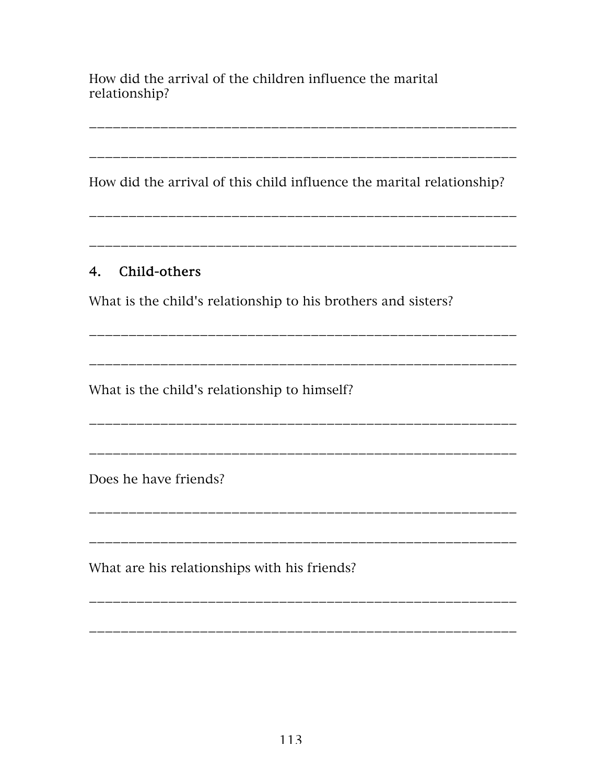How did the arrival of the children influence the marital relationship?

How did the arrival of this child influence the marital relationship?

#### 4. Child-others

What is the child's relationship to his brothers and sisters?

\_\_\_\_\_\_\_\_\_\_\_\_\_\_\_\_\_\_\_\_\_\_\_\_\_\_

What is the child's relationship to himself?

Does he have friends?

What are his relationships with his friends?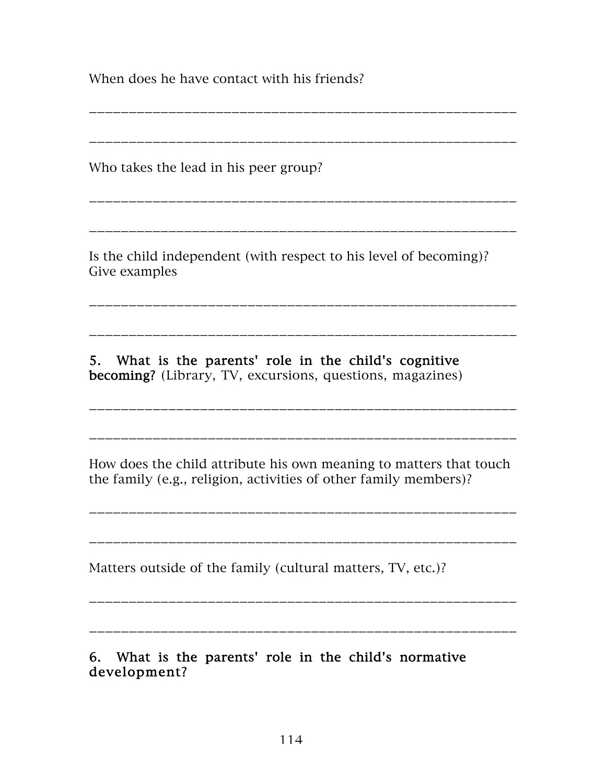When does he have contact with his friends?

Who takes the lead in his peer group?

Is the child independent (with respect to his level of becoming)? Give examples

\_\_\_\_\_\_\_\_\_\_\_\_\_\_\_\_\_\_\_\_\_\_\_\_\_\_\_\_\_\_\_\_\_\_\_\_\_\_\_\_\_\_\_\_\_\_\_\_\_\_\_\_\_\_

\_\_\_\_\_\_\_\_\_\_\_\_\_\_\_\_\_\_\_\_\_\_\_\_\_\_\_\_\_\_\_\_\_\_\_\_\_\_\_\_\_\_\_\_\_\_\_\_\_\_\_\_\_\_

\_\_\_\_\_\_\_\_\_\_\_\_\_\_\_\_\_\_\_\_\_\_\_\_\_\_\_\_\_\_\_\_\_\_\_\_\_\_\_\_\_\_\_\_\_\_\_\_\_\_\_\_\_\_

\_\_\_\_\_\_\_\_\_\_\_\_\_\_\_\_\_\_\_\_\_\_\_\_\_\_\_\_\_\_\_\_\_\_\_\_\_\_\_\_\_\_\_\_\_\_\_\_\_\_\_\_\_\_

\_\_\_\_\_\_\_\_\_\_\_\_\_\_\_\_\_\_\_\_\_\_\_\_\_\_\_\_\_\_\_\_\_\_\_\_\_\_\_\_\_\_\_\_\_\_\_\_\_\_\_\_\_\_

\_\_\_\_\_\_\_\_\_\_\_\_\_\_\_\_\_\_\_\_\_\_\_\_\_\_\_\_\_\_\_\_\_\_\_\_\_\_\_\_\_\_\_\_\_\_\_\_\_\_\_\_\_\_

5. What is the parents' role in the child's cognitive becoming? (Library, TV, excursions, questions, magazines)

How does the child attribute his own meaning to matters that touch the family (e.g., religion, activities of other family members)?

\_\_\_\_\_\_\_\_\_\_\_\_\_\_\_\_\_\_\_\_\_\_\_\_\_\_\_\_\_\_\_\_\_\_\_\_\_\_\_\_\_\_\_\_\_\_\_\_\_\_\_\_\_\_

\_\_\_\_\_\_\_\_\_\_\_\_\_\_\_\_\_\_\_\_\_\_\_\_\_\_\_\_\_\_\_\_\_\_\_\_\_\_\_\_\_\_\_\_\_\_\_\_\_\_\_\_\_\_

\_\_\_\_\_\_\_\_\_\_\_\_\_\_\_\_\_\_\_\_\_\_\_\_\_\_\_\_\_\_\_\_\_\_\_\_\_\_\_\_\_\_\_\_\_\_\_\_\_\_\_\_\_\_

\_\_\_\_\_\_\_\_\_\_\_\_\_\_\_\_\_\_\_\_\_\_\_\_\_\_\_\_\_\_\_\_\_\_\_\_\_\_\_\_\_\_\_\_\_\_\_\_\_\_\_\_\_\_

Matters outside of the family (cultural matters, TV, etc.)?

\_\_\_\_\_\_\_\_\_\_\_\_\_\_\_\_\_\_\_\_\_\_\_\_\_\_\_\_\_\_\_\_\_\_\_\_\_\_\_\_\_\_\_\_\_\_\_\_\_\_\_\_\_\_

\_\_\_\_\_\_\_\_\_\_\_\_\_\_\_\_\_\_\_\_\_\_\_\_\_\_\_\_\_\_\_\_\_\_\_\_\_\_\_\_\_\_\_\_\_\_\_\_\_\_\_\_\_\_

6. What is the parents' role in the child's normative development?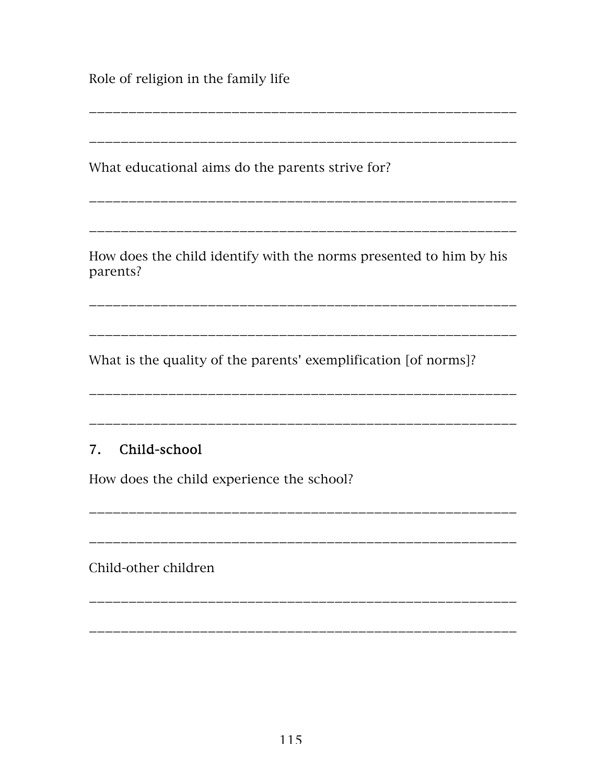Role of religion in the family life

What educational aims do the parents strive for?

How does the child identify with the norms presented to him by his parents?

What is the quality of the parents' exemplification [of norms]?

#### 7. Child-school

How does the child experience the school?

Child-other children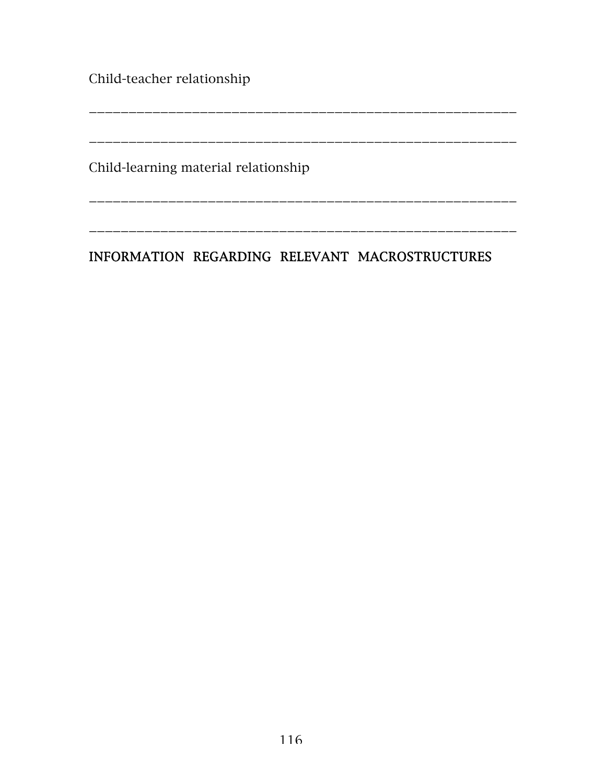Child-teacher relationship

\_\_\_\_\_\_\_\_\_\_\_\_\_\_\_\_\_\_\_\_\_\_\_\_\_\_\_\_\_\_\_\_\_\_\_\_\_\_\_\_\_\_\_\_\_\_\_\_\_\_\_\_\_\_ \_\_\_\_\_\_\_\_\_\_\_\_\_\_\_\_\_\_\_\_\_\_\_\_\_\_\_\_\_\_\_\_\_\_\_\_\_\_\_\_\_\_\_\_\_\_\_\_\_\_\_\_\_\_

\_\_\_\_\_\_\_\_\_\_\_\_\_\_\_\_\_\_\_\_\_\_\_\_\_\_\_\_\_\_\_\_\_\_\_\_\_\_\_\_\_\_\_\_\_\_\_\_\_\_\_\_\_\_

\_\_\_\_\_\_\_\_\_\_\_\_\_\_\_\_\_\_\_\_\_\_\_\_\_\_\_\_\_\_\_\_\_\_\_\_\_\_\_\_\_\_\_\_\_\_\_\_\_\_\_\_\_\_

Child-learning material relationship

## INFORMATION REGARDING RELEVANT MACROSTRUCTURES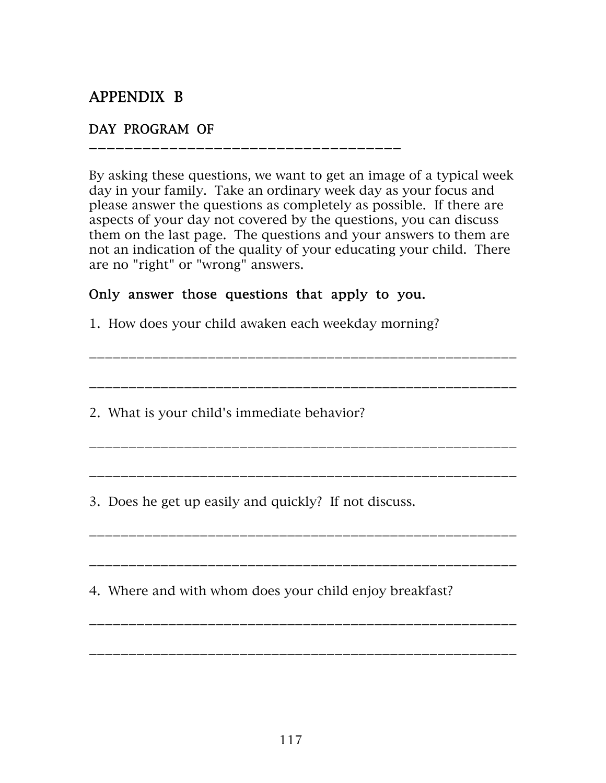# APPENDIX B

#### DAY PROGRAM OF

\_\_\_\_\_\_\_\_\_\_\_\_\_\_\_\_\_\_\_\_\_\_\_\_\_\_\_\_\_\_\_\_\_\_\_

By asking these questions, we want to get an image of a typical week day in your family. Take an ordinary week day as your focus and please answer the questions as completely as possible. If there are aspects of your day not covered by the questions, you can discuss them on the last page. The questions and your answers to them are not an indication of the quality of your educating your child. There are no "right" or "wrong" answers.

\_\_\_\_\_\_\_\_\_\_\_\_\_\_\_\_\_\_\_\_\_\_\_\_\_\_\_\_\_\_\_\_\_\_\_\_\_\_\_\_\_\_\_\_\_\_\_\_\_\_\_\_\_\_

\_\_\_\_\_\_\_\_\_\_\_\_\_\_\_\_\_\_\_\_\_\_\_\_\_\_\_\_\_\_\_\_\_\_\_\_\_\_\_\_\_\_\_\_\_\_\_\_\_\_\_\_\_\_

\_\_\_\_\_\_\_\_\_\_\_\_\_\_\_\_\_\_\_\_\_\_\_\_\_\_\_\_\_\_\_\_\_\_\_\_\_\_\_\_\_\_\_\_\_\_\_\_\_\_\_\_\_\_

\_\_\_\_\_\_\_\_\_\_\_\_\_\_\_\_\_\_\_\_\_\_\_\_\_\_\_\_\_\_\_\_\_\_\_\_\_\_\_\_\_\_\_\_\_\_\_\_\_\_\_\_\_\_

\_\_\_\_\_\_\_\_\_\_\_\_\_\_\_\_\_\_\_\_\_\_\_\_\_\_\_\_\_\_\_\_\_\_\_\_\_\_\_\_\_\_\_\_\_\_\_\_\_\_\_\_\_\_

\_\_\_\_\_\_\_\_\_\_\_\_\_\_\_\_\_\_\_\_\_\_\_\_\_\_\_\_\_\_\_\_\_\_\_\_\_\_\_\_\_\_\_\_\_\_\_\_\_\_\_\_\_\_

\_\_\_\_\_\_\_\_\_\_\_\_\_\_\_\_\_\_\_\_\_\_\_\_\_\_\_\_\_\_\_\_\_\_\_\_\_\_\_\_\_\_\_\_\_\_\_\_\_\_\_\_\_\_

\_\_\_\_\_\_\_\_\_\_\_\_\_\_\_\_\_\_\_\_\_\_\_\_\_\_\_\_\_\_\_\_\_\_\_\_\_\_\_\_\_\_\_\_\_\_\_\_\_\_\_\_\_\_

#### Only answer those questions that apply to you.

1. How does your child awaken each weekday morning?

2. What is your child's immediate behavior?

3. Does he get up easily and quickly? If not discuss.

4. Where and with whom does your child enjoy breakfast?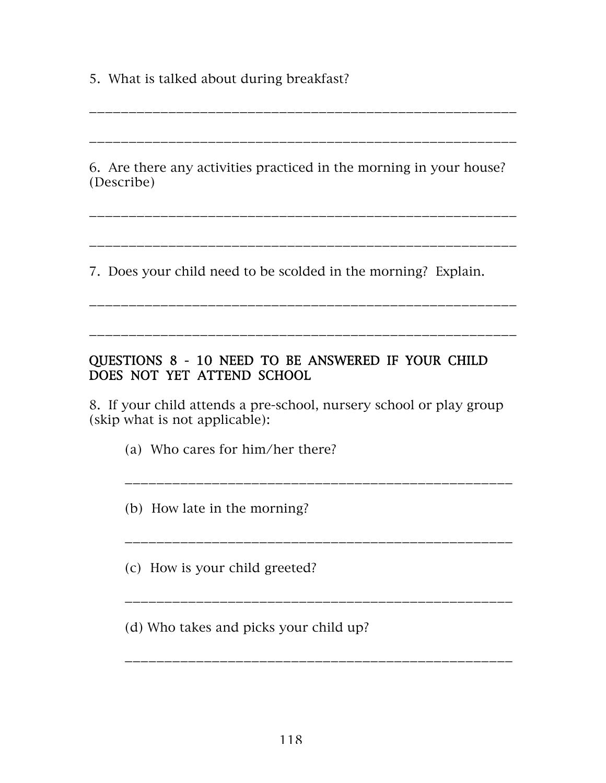5. What is talked about during breakfast?

6. Are there any activities practiced in the morning in your house? (Describe)

\_\_\_\_\_\_\_\_\_\_\_\_\_\_\_\_\_\_\_\_\_\_\_\_\_\_\_\_\_\_\_\_\_\_\_\_\_\_\_\_\_\_\_\_\_\_\_\_\_\_\_\_\_\_

\_\_\_\_\_\_\_\_\_\_\_\_\_\_\_\_\_\_\_\_\_\_\_\_\_\_\_\_\_\_\_\_\_\_\_\_\_\_\_\_\_\_\_\_\_\_\_\_\_\_\_\_\_\_

\_\_\_\_\_\_\_\_\_\_\_\_\_\_\_\_\_\_\_\_\_\_\_\_\_\_\_\_\_\_\_\_\_\_\_\_\_\_\_\_\_\_\_\_\_\_\_\_\_\_\_\_\_\_

\_\_\_\_\_\_\_\_\_\_\_\_\_\_\_\_\_\_\_\_\_\_\_\_\_\_\_\_\_\_\_\_\_\_\_\_\_\_\_\_\_\_\_\_\_\_\_\_\_\_\_\_\_\_

\_\_\_\_\_\_\_\_\_\_\_\_\_\_\_\_\_\_\_\_\_\_\_\_\_\_\_\_\_\_\_\_\_\_\_\_\_\_\_\_\_\_\_\_\_\_\_\_\_\_\_\_\_\_

\_\_\_\_\_\_\_\_\_\_\_\_\_\_\_\_\_\_\_\_\_\_\_\_\_\_\_\_\_\_\_\_\_\_\_\_\_\_\_\_\_\_\_\_\_\_\_\_\_\_\_\_\_\_

7. Does your child need to be scolded in the morning? Explain.

#### QUESTIONS 8 - 10 NEED TO BE ANSWERED IF YOUR CHILD DOES NOT YET ATTEND SCHOOL

8. If your child attends a pre-school, nursery school or play group (skip what is not applicable):

\_\_\_\_\_\_\_\_\_\_\_\_\_\_\_\_\_\_\_\_\_\_\_\_\_\_\_\_\_\_\_\_\_\_\_\_\_\_\_\_\_\_\_\_\_\_\_\_\_

\_\_\_\_\_\_\_\_\_\_\_\_\_\_\_\_\_\_\_\_\_\_\_\_\_\_\_\_\_\_\_\_\_\_\_\_\_\_\_\_\_\_\_\_\_\_\_\_\_

\_\_\_\_\_\_\_\_\_\_\_\_\_\_\_\_\_\_\_\_\_\_\_\_\_\_\_\_\_\_\_\_\_\_\_\_\_\_\_\_\_\_\_\_\_\_\_\_\_

(a) Who cares for him/her there?

(b) How late in the morning?

(c) How is your child greeted?

(d) Who takes and picks your child up?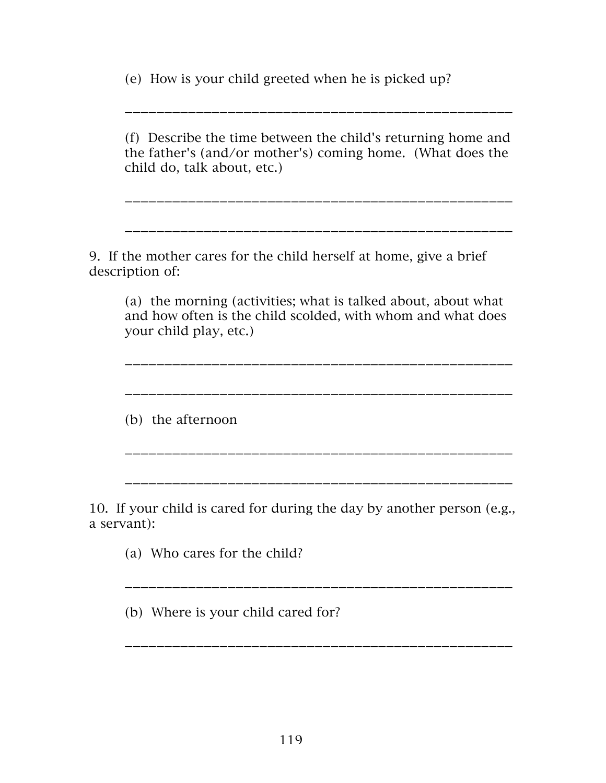(e) How is your child greeted when he is picked up?

(f) Describe the time between the child's returning home and the father's (and/or mother's) coming home. (What does the child do, talk about, etc.)

\_\_\_\_\_\_\_\_\_\_\_\_\_\_\_\_\_\_\_\_\_\_\_\_\_\_\_\_\_\_\_\_\_\_\_\_\_\_\_\_\_\_\_\_\_\_\_\_\_

\_\_\_\_\_\_\_\_\_\_\_\_\_\_\_\_\_\_\_\_\_\_\_\_\_\_\_\_\_\_\_\_\_\_\_\_\_\_\_\_\_\_\_\_\_\_\_\_\_

\_\_\_\_\_\_\_\_\_\_\_\_\_\_\_\_\_\_\_\_\_\_\_\_\_\_\_\_\_\_\_\_\_\_\_\_\_\_\_\_\_\_\_\_\_\_\_\_\_

9. If the mother cares for the child herself at home, give a brief description of:

(a) the morning (activities; what is talked about, about what and how often is the child scolded, with whom and what does your child play, etc.)

\_\_\_\_\_\_\_\_\_\_\_\_\_\_\_\_\_\_\_\_\_\_\_\_\_\_\_\_\_\_\_\_\_\_\_\_\_\_\_\_\_\_\_\_\_\_\_\_\_

\_\_\_\_\_\_\_\_\_\_\_\_\_\_\_\_\_\_\_\_\_\_\_\_\_\_\_\_\_\_\_\_\_\_\_\_\_\_\_\_\_\_\_\_\_\_\_\_\_

(b) the afternoon

10. If your child is cared for during the day by another person (e.g., a servant):

\_\_\_\_\_\_\_\_\_\_\_\_\_\_\_\_\_\_\_\_\_\_\_\_\_\_\_\_\_\_\_\_\_\_\_\_\_\_\_\_\_\_\_\_\_\_\_\_\_

\_\_\_\_\_\_\_\_\_\_\_\_\_\_\_\_\_\_\_\_\_\_\_\_\_\_\_\_\_\_\_\_\_\_\_\_\_\_\_\_\_\_\_\_\_\_\_\_\_

\_\_\_\_\_\_\_\_\_\_\_\_\_\_\_\_\_\_\_\_\_\_\_\_\_\_\_\_\_\_\_\_\_\_\_\_\_\_\_\_\_\_\_\_\_\_\_\_\_

(a) Who cares for the child?

(b) Where is your child cared for?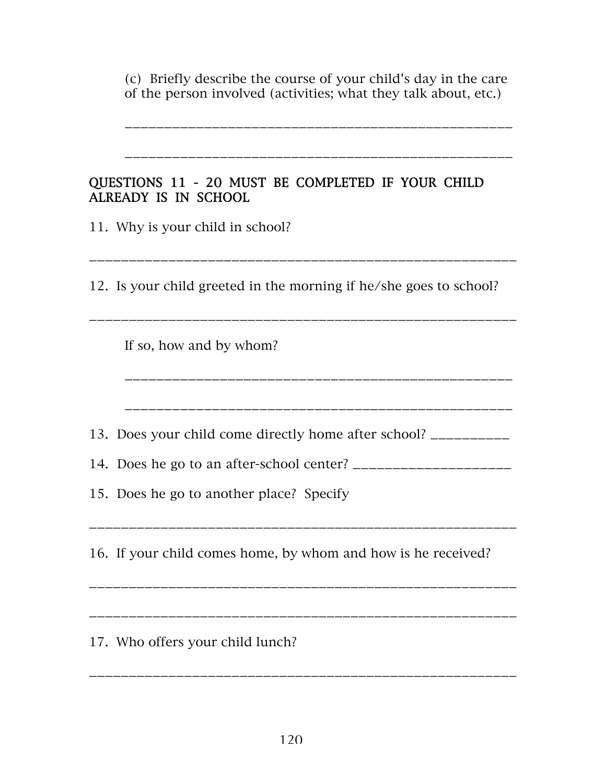(c) Briefly describe the course of your child's day in the care of the person involved (activities; what they talk about, etc.)

\_\_\_\_\_\_\_\_\_\_\_\_\_\_\_\_\_\_\_\_\_\_\_\_\_\_\_\_\_\_\_\_\_\_\_\_\_\_\_\_\_\_\_\_\_\_\_\_\_

\_\_\_\_\_\_\_\_\_\_\_\_\_\_\_\_\_\_\_\_\_\_\_\_\_\_\_\_\_\_\_\_\_\_\_\_\_\_\_\_\_\_\_\_\_\_\_\_\_

\_\_\_\_\_\_\_\_\_\_\_\_\_\_\_\_\_\_\_\_\_\_\_\_\_\_\_\_\_\_\_\_\_\_\_\_\_\_\_\_\_\_\_\_\_\_\_\_\_\_\_\_\_\_

\_\_\_\_\_\_\_\_\_\_\_\_\_\_\_\_\_\_\_\_\_\_\_\_\_\_\_\_\_\_\_\_\_\_\_\_\_\_\_\_\_\_\_\_\_\_\_\_\_\_\_\_\_\_

|                      |  |  |  | QUESTIONS 11 - 20 MUST BE COMPLETED IF YOUR CHILD |  |  |
|----------------------|--|--|--|---------------------------------------------------|--|--|
| ALREADY IS IN SCHOOL |  |  |  |                                                   |  |  |

11. Why is your child in school?

12. Is your child greeted in the morning if he/she goes to school?

\_\_\_\_\_\_\_\_\_\_\_\_\_\_\_\_\_\_\_\_\_\_\_\_\_\_\_\_\_\_\_\_\_\_\_\_\_\_\_\_\_\_\_\_\_\_\_\_\_\_\_\_\_\_

\_\_\_\_\_\_\_\_\_\_\_\_\_\_\_\_\_\_\_\_\_\_\_\_\_\_\_\_\_\_\_\_\_\_\_\_\_\_\_\_\_\_\_\_\_\_\_\_\_

\_\_\_\_\_\_\_\_\_\_\_\_\_\_\_\_\_\_\_\_\_\_\_\_\_\_\_\_\_\_\_\_\_\_\_\_\_\_\_\_\_\_\_\_\_\_\_\_\_

If so, how and by whom?

13. Does your child come directly home after school? \_\_\_\_\_\_\_\_\_\_

14. Does he go to an after-school center? \_\_\_\_\_\_\_\_\_\_\_\_\_\_\_\_\_\_\_\_

15. Does he go to another place? Specify

16. If your child comes home, by whom and how is he received?

\_\_\_\_\_\_\_\_\_\_\_\_\_\_\_\_\_\_\_\_\_\_\_\_\_\_\_\_\_\_\_\_\_\_\_\_\_\_\_\_\_\_\_\_\_\_\_\_\_\_\_\_\_\_

\_\_\_\_\_\_\_\_\_\_\_\_\_\_\_\_\_\_\_\_\_\_\_\_\_\_\_\_\_\_\_\_\_\_\_\_\_\_\_\_\_\_\_\_\_\_\_\_\_\_\_\_\_\_

17. Who offers your child lunch?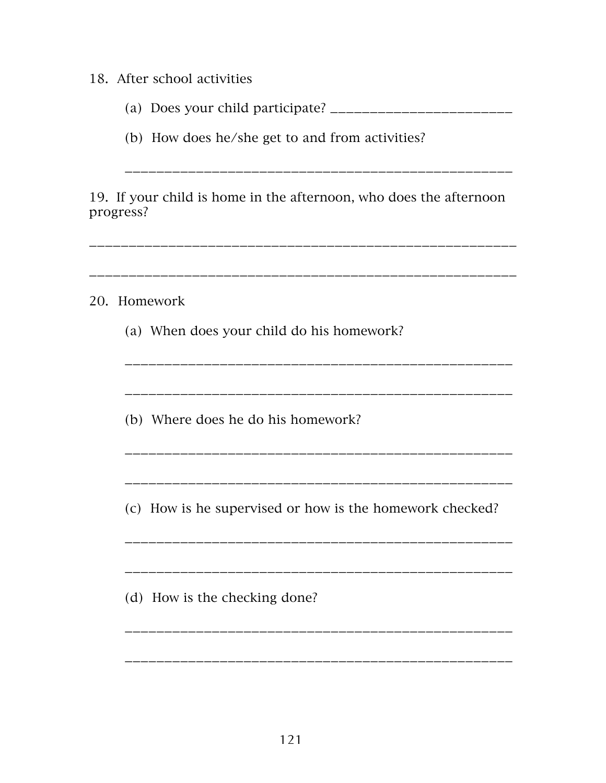#### 18. After school activities

- (a) Does your child participate? \_\_\_\_\_\_\_\_\_\_\_\_\_\_\_\_\_\_\_\_\_\_\_
- (b) How does he/she get to and from activities?

19. If your child is home in the afternoon, who does the afternoon progress?

\_\_\_\_\_\_\_\_\_\_\_\_\_\_\_\_\_\_\_\_\_\_\_\_\_\_\_\_\_\_\_\_\_\_\_\_\_\_\_\_\_\_\_\_\_\_\_\_\_\_\_\_\_\_ \_\_\_\_\_\_\_\_\_\_\_\_\_\_\_\_\_\_\_\_\_\_\_\_\_\_\_\_\_\_\_\_\_\_\_\_\_\_\_\_\_\_\_\_\_\_\_\_\_\_\_\_\_\_ 20. Homework (a) When does your child do his homework? \_\_\_\_\_\_\_\_\_\_\_\_\_\_\_\_\_\_\_\_\_\_\_\_\_\_\_\_\_\_\_\_\_\_\_\_\_\_\_\_\_\_\_\_\_\_\_\_\_ \_\_\_\_\_\_\_\_\_\_\_\_\_\_\_\_\_\_\_\_\_\_\_\_\_\_\_\_\_\_\_\_\_\_\_\_\_\_\_\_\_\_\_\_\_\_\_\_\_ (b) Where does he do his homework? \_\_\_\_\_\_\_\_\_\_\_\_\_\_\_\_\_\_\_\_\_\_\_\_\_\_\_\_\_\_\_\_\_\_\_\_\_\_\_\_\_\_\_\_\_\_\_\_\_ \_\_\_\_\_\_\_\_\_\_\_\_\_\_\_\_\_\_\_\_\_\_\_\_\_\_\_\_\_\_\_\_\_\_\_\_\_\_\_\_\_\_\_\_\_\_\_\_\_ (c) How is he supervised or how is the homework checked? \_\_\_\_\_\_\_\_\_\_\_\_\_\_\_\_\_\_\_\_\_\_\_\_\_\_\_\_\_\_\_\_\_\_\_\_\_\_\_\_\_\_\_\_\_\_\_\_\_ \_\_\_\_\_\_\_\_\_\_\_\_\_\_\_\_\_\_\_\_\_\_\_\_\_\_\_\_\_\_\_\_\_\_\_\_\_\_\_\_\_\_\_\_\_\_\_\_\_ (d) How is the checking done? \_\_\_\_\_\_\_\_\_\_\_\_\_\_\_\_\_\_\_\_\_\_\_\_\_\_\_\_\_\_\_\_\_\_\_\_\_\_\_\_\_\_\_\_\_\_\_\_\_ \_\_\_\_\_\_\_\_\_\_\_\_\_\_\_\_\_\_\_\_\_\_\_\_\_\_\_\_\_\_\_\_\_\_\_\_\_\_\_\_\_\_\_\_\_\_\_\_\_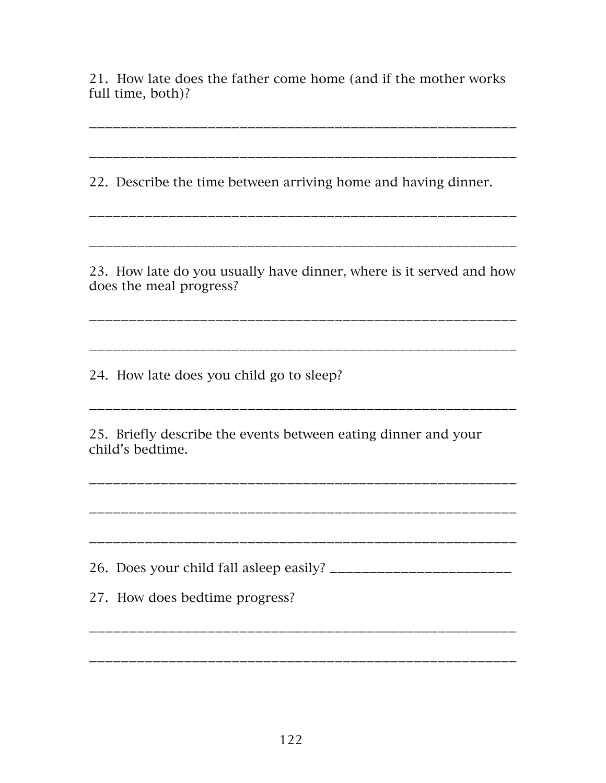21. How late does the father come home (and if the mother works full time, both)?

\_\_\_\_\_\_\_\_\_\_\_\_\_\_\_\_\_\_\_\_\_\_\_\_\_\_\_\_\_\_\_\_\_\_\_\_\_\_\_\_\_\_\_\_\_\_\_\_\_\_\_\_\_\_

\_\_\_\_\_\_\_\_\_\_\_\_\_\_\_\_\_\_\_\_\_\_\_\_\_\_\_\_\_\_\_\_\_\_\_\_\_\_\_\_\_\_\_\_\_\_\_\_\_\_\_\_\_\_

\_\_\_\_\_\_\_\_\_\_\_\_\_\_\_\_\_\_\_\_\_\_\_\_\_\_\_\_\_\_\_\_\_\_\_\_\_\_\_\_\_\_\_\_\_\_\_\_\_\_\_\_\_\_

\_\_\_\_\_\_\_\_\_\_\_\_\_\_\_\_\_\_\_\_\_\_\_\_\_\_\_\_\_\_\_\_\_\_\_\_\_\_\_\_\_\_\_\_\_\_\_\_\_\_\_\_\_\_

22. Describe the time between arriving home and having dinner.

23. How late do you usually have dinner, where is it served and how does the meal progress?

\_\_\_\_\_\_\_\_\_\_\_\_\_\_\_\_\_\_\_\_\_\_\_\_\_\_\_\_\_\_\_\_\_\_\_\_\_\_\_\_\_\_\_\_\_\_\_\_\_\_\_\_\_\_

\_\_\_\_\_\_\_\_\_\_\_\_\_\_\_\_\_\_\_\_\_\_\_\_\_\_\_\_\_\_\_\_\_\_\_\_\_\_\_\_\_\_\_\_\_\_\_\_\_\_\_\_\_\_

\_\_\_\_\_\_\_\_\_\_\_\_\_\_\_\_\_\_\_\_\_\_\_\_\_\_\_\_\_\_\_\_\_\_\_\_\_\_\_\_\_\_\_\_\_\_\_\_\_\_\_\_\_\_

\_\_\_\_\_\_\_\_\_\_\_\_\_\_\_\_\_\_\_\_\_\_\_\_\_\_\_\_\_\_\_\_\_\_\_\_\_\_\_\_\_\_\_\_\_\_\_\_\_\_\_\_\_\_

\_\_\_\_\_\_\_\_\_\_\_\_\_\_\_\_\_\_\_\_\_\_\_\_\_\_\_\_\_\_\_\_\_\_\_\_\_\_\_\_\_\_\_\_\_\_\_\_\_\_\_\_\_\_

24. How late does you child go to sleep?

25. Briefly describe the events between eating dinner and your child's bedtime.

26. Does your child fall asleep easily? \_\_\_\_\_\_\_\_\_\_\_\_\_\_\_\_\_\_\_\_\_\_\_

\_\_\_\_\_\_\_\_\_\_\_\_\_\_\_\_\_\_\_\_\_\_\_\_\_\_\_\_\_\_\_\_\_\_\_\_\_\_\_\_\_\_\_\_\_\_\_\_\_\_\_\_\_\_

\_\_\_\_\_\_\_\_\_\_\_\_\_\_\_\_\_\_\_\_\_\_\_\_\_\_\_\_\_\_\_\_\_\_\_\_\_\_\_\_\_\_\_\_\_\_\_\_\_\_\_\_\_\_

27. How does bedtime progress?

122